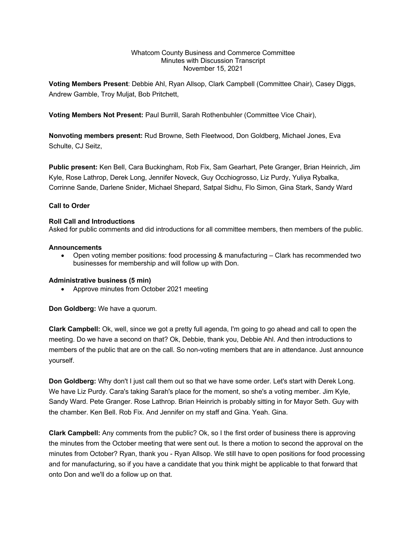#### Whatcom County Business and Commerce Committee Minutes with Discussion Transcript November 15, 2021

**Voting Members Present**: Debbie Ahl, Ryan Allsop, Clark Campbell (Committee Chair), Casey Diggs, Andrew Gamble, Troy Muljat, Bob Pritchett,

**Voting Members Not Present:** Paul Burrill, Sarah Rothenbuhler (Committee Vice Chair),

**Nonvoting members present:** Rud Browne, Seth Fleetwood, Don Goldberg, Michael Jones, Eva Schulte, CJ Seitz,

**Public present:** Ken Bell, Cara Buckingham, Rob Fix, Sam Gearhart, Pete Granger, Brian Heinrich, Jim Kyle, Rose Lathrop, Derek Long, Jennifer Noveck, Guy Occhiogrosso, Liz Purdy, Yuliya Rybalka, Corrinne Sande, Darlene Snider, Michael Shepard, Satpal Sidhu, Flo Simon, Gina Stark, Sandy Ward

## **Call to Order**

### **Roll Call and Introductions**

Asked for public comments and did introductions for all committee members, then members of the public.

#### **Announcements**

• Open voting member positions: food processing & manufacturing – Clark has recommended two businesses for membership and will follow up with Don.

### **Administrative business (5 min)**

• Approve minutes from October 2021 meeting

**Don Goldberg:** We have a quorum.

**Clark Campbell:** Ok, well, since we got a pretty full agenda, I'm going to go ahead and call to open the meeting. Do we have a second on that? Ok, Debbie, thank you, Debbie Ahl. And then introductions to members of the public that are on the call. So non-voting members that are in attendance. Just announce yourself.

**Don Goldberg:** Why don't I just call them out so that we have some order. Let's start with Derek Long. We have Liz Purdy. Cara's taking Sarah's place for the moment, so she's a voting member. Jim Kyle, Sandy Ward. Pete Granger. Rose Lathrop. Brian Heinrich is probably sitting in for Mayor Seth. Guy with the chamber. Ken Bell. Rob Fix. And Jennifer on my staff and Gina. Yeah. Gina.

**Clark Campbell:** Any comments from the public? Ok, so I the first order of business there is approving the minutes from the October meeting that were sent out. Is there a motion to second the approval on the minutes from October? Ryan, thank you - Ryan Allsop. We still have to open positions for food processing and for manufacturing, so if you have a candidate that you think might be applicable to that forward that onto Don and we'll do a follow up on that.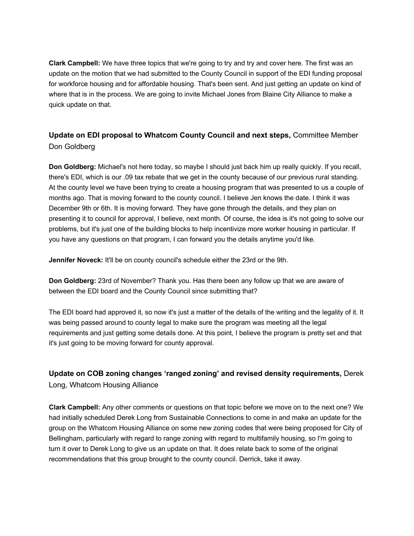**Clark Campbell:** We have three topics that we're going to try and try and cover here. The first was an update on the motion that we had submitted to the County Council in support of the EDI funding proposal for workforce housing and for affordable housing. That's been sent. And just getting an update on kind of where that is in the process. We are going to invite Michael Jones from Blaine City Alliance to make a quick update on that.

# **Update on EDI proposal to Whatcom County Council and next steps,** Committee Member Don Goldberg

**Don Goldberg:** Michael's not here today, so maybe I should just back him up really quickly. If you recall, there's EDI, which is our .09 tax rebate that we get in the county because of our previous rural standing. At the county level we have been trying to create a housing program that was presented to us a couple of months ago. That is moving forward to the county council. I believe Jen knows the date. I think it was December 9th or 6th. It is moving forward. They have gone through the details, and they plan on presenting it to council for approval, I believe, next month. Of course, the idea is it's not going to solve our problems, but it's just one of the building blocks to help incentivize more worker housing in particular. If you have any questions on that program, I can forward you the details anytime you'd like.

**Jennifer Noveck:** It'll be on county council's schedule either the 23rd or the 9th.

**Don Goldberg:** 23rd of November? Thank you. Has there been any follow up that we are aware of between the EDI board and the County Council since submitting that?

The EDI board had approved it, so now it's just a matter of the details of the writing and the legality of it. It was being passed around to county legal to make sure the program was meeting all the legal requirements and just getting some details done. At this point, I believe the program is pretty set and that it's just going to be moving forward for county approval.

# **Update on COB zoning changes 'ranged zoning' and revised density requirements,** Derek Long, Whatcom Housing Alliance

**Clark Campbell:** Any other comments or questions on that topic before we move on to the next one? We had initially scheduled Derek Long from Sustainable Connections to come in and make an update for the group on the Whatcom Housing Alliance on some new zoning codes that were being proposed for City of Bellingham, particularly with regard to range zoning with regard to multifamily housing, so I'm going to turn it over to Derek Long to give us an update on that. It does relate back to some of the original recommendations that this group brought to the county council. Derrick, take it away.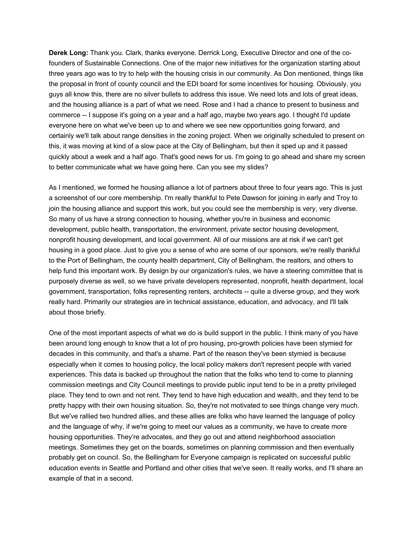**Derek Long:** Thank you. Clark, thanks everyone. Derrick Long, Executive Director and one of the cofounders of Sustainable Connections. One of the major new initiatives for the organization starting about three years ago was to try to help with the housing crisis in our community. As Don mentioned, things like the proposal in front of county council and the EDI board for some incentives for housing. Obviously, you guys all know this, there are no silver bullets to address this issue. We need lots and lots of great ideas, and the housing alliance is a part of what we need. Rose and I had a chance to present to business and commerce -- I suppose it's going on a year and a half ago, maybe two years ago. I thought I'd update everyone here on what we've been up to and where we see new opportunities going forward, and certainly we'll talk about range densities in the zoning project. When we originally scheduled to present on this, it was moving at kind of a slow pace at the City of Bellingham, but then it sped up and it passed quickly about a week and a half ago. That's good news for us. I'm going to go ahead and share my screen to better communicate what we have going here. Can you see my slides?

As I mentioned, we formed he housing alliance a lot of partners about three to four years ago. This is just a screenshot of our core membership. I'm really thankful to Pete Dawson for joining in early and Troy to join the housing alliance and support this work, but you could see the membership is very, very diverse. So many of us have a strong connection to housing, whether you're in business and economic development, public health, transportation, the environment, private sector housing development, nonprofit housing development, and local government. All of our missions are at risk if we can't get housing in a good place. Just to give you a sense of who are some of our sponsors, we're really thankful to the Port of Bellingham, the county health department, City of Bellingham, the realtors, and others to help fund this important work. By design by our organization's rules, we have a steering committee that is purposely diverse as well, so we have private developers represented, nonprofit, health department, local government, transportation, folks representing renters, architects -- quite a diverse group, and they work really hard. Primarily our strategies are in technical assistance, education, and advocacy, and I'll talk about those briefly.

One of the most important aspects of what we do is build support in the public. I think many of you have been around long enough to know that a lot of pro housing, pro-growth policies have been stymied for decades in this community, and that's a shame. Part of the reason they've been stymied is because especially when it comes to housing policy, the local policy makers don't represent people with varied experiences. This data is backed up throughout the nation that the folks who tend to come to planning commission meetings and City Council meetings to provide public input tend to be in a pretty privileged place. They tend to own and not rent. They tend to have high education and wealth, and they tend to be pretty happy with their own housing situation. So, they're not motivated to see things change very much. But we've rallied two hundred allies, and these allies are folks who have learned the language of policy and the language of why, if we're going to meet our values as a community, we have to create more housing opportunities. They're advocates, and they go out and attend neighborhood association meetings. Sometimes they get on the boards, sometimes on planning commission and then eventually probably get on council. So, the Bellingham for Everyone campaign is replicated on successful public education events in Seattle and Portland and other cities that we've seen. It really works, and I'll share an example of that in a second.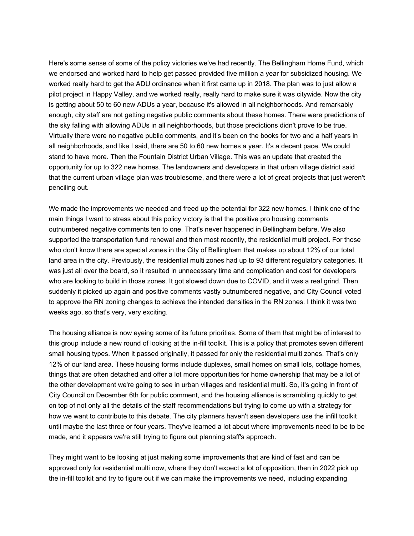Here's some sense of some of the policy victories we've had recently. The Bellingham Home Fund, which we endorsed and worked hard to help get passed provided five million a year for subsidized housing. We worked really hard to get the ADU ordinance when it first came up in 2018. The plan was to just allow a pilot project in Happy Valley, and we worked really, really hard to make sure it was citywide. Now the city is getting about 50 to 60 new ADUs a year, because it's allowed in all neighborhoods. And remarkably enough, city staff are not getting negative public comments about these homes. There were predictions of the sky falling with allowing ADUs in all neighborhoods, but those predictions didn't prove to be true. Virtually there were no negative public comments, and it's been on the books for two and a half years in all neighborhoods, and like I said, there are 50 to 60 new homes a year. It's a decent pace. We could stand to have more. Then the Fountain District Urban Village. This was an update that created the opportunity for up to 322 new homes. The landowners and developers in that urban village district said that the current urban village plan was troublesome, and there were a lot of great projects that just weren't penciling out.

We made the improvements we needed and freed up the potential for 322 new homes. I think one of the main things I want to stress about this policy victory is that the positive pro housing comments outnumbered negative comments ten to one. That's never happened in Bellingham before. We also supported the transportation fund renewal and then most recently, the residential multi project. For those who don't know there are special zones in the City of Bellingham that makes up about 12% of our total land area in the city. Previously, the residential multi zones had up to 93 different regulatory categories. It was just all over the board, so it resulted in unnecessary time and complication and cost for developers who are looking to build in those zones. It got slowed down due to COVID, and it was a real grind. Then suddenly it picked up again and positive comments vastly outnumbered negative, and City Council voted to approve the RN zoning changes to achieve the intended densities in the RN zones. I think it was two weeks ago, so that's very, very exciting.

The housing alliance is now eyeing some of its future priorities. Some of them that might be of interest to this group include a new round of looking at the in-fill toolkit. This is a policy that promotes seven different small housing types. When it passed originally, it passed for only the residential multi zones. That's only 12% of our land area. These housing forms include duplexes, small homes on small lots, cottage homes, things that are often detached and offer a lot more opportunities for home ownership that may be a lot of the other development we're going to see in urban villages and residential multi. So, it's going in front of City Council on December 6th for public comment, and the housing alliance is scrambling quickly to get on top of not only all the details of the staff recommendations but trying to come up with a strategy for how we want to contribute to this debate. The city planners haven't seen developers use the infill toolkit until maybe the last three or four years. They've learned a lot about where improvements need to be to be made, and it appears we're still trying to figure out planning staff's approach.

They might want to be looking at just making some improvements that are kind of fast and can be approved only for residential multi now, where they don't expect a lot of opposition, then in 2022 pick up the in-fill toolkit and try to figure out if we can make the improvements we need, including expanding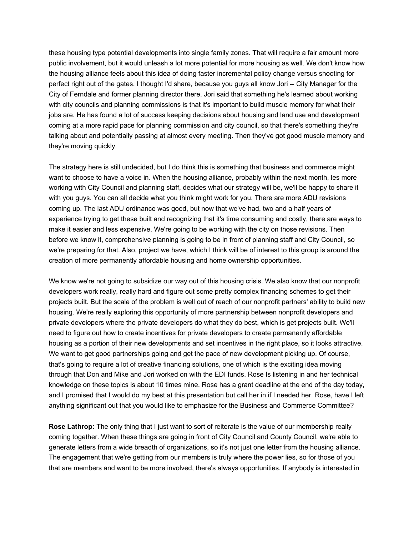these housing type potential developments into single family zones. That will require a fair amount more public involvement, but it would unleash a lot more potential for more housing as well. We don't know how the housing alliance feels about this idea of doing faster incremental policy change versus shooting for perfect right out of the gates. I thought I'd share, because you guys all know Jori -- City Manager for the City of Ferndale and former planning director there. Jori said that something he's learned about working with city councils and planning commissions is that it's important to build muscle memory for what their jobs are. He has found a lot of success keeping decisions about housing and land use and development coming at a more rapid pace for planning commission and city council, so that there's something they're talking about and potentially passing at almost every meeting. Then they've got good muscle memory and they're moving quickly.

The strategy here is still undecided, but I do think this is something that business and commerce might want to choose to have a voice in. When the housing alliance, probably within the next month, les more working with City Council and planning staff, decides what our strategy will be, we'll be happy to share it with you guys. You can all decide what you think might work for you. There are more ADU revisions coming up. The last ADU ordinance was good, but now that we've had, two and a half years of experience trying to get these built and recognizing that it's time consuming and costly, there are ways to make it easier and less expensive. We're going to be working with the city on those revisions. Then before we know it, comprehensive planning is going to be in front of planning staff and City Council, so we're preparing for that. Also, project we have, which I think will be of interest to this group is around the creation of more permanently affordable housing and home ownership opportunities.

We know we're not going to subsidize our way out of this housing crisis. We also know that our nonprofit developers work really, really hard and figure out some pretty complex financing schemes to get their projects built. But the scale of the problem is well out of reach of our nonprofit partners' ability to build new housing. We're really exploring this opportunity of more partnership between nonprofit developers and private developers where the private developers do what they do best, which is get projects built. We'll need to figure out how to create incentives for private developers to create permanently affordable housing as a portion of their new developments and set incentives in the right place, so it looks attractive. We want to get good partnerships going and get the pace of new development picking up. Of course, that's going to require a lot of creative financing solutions, one of which is the exciting idea moving through that Don and Mike and Jori worked on with the EDI funds. Rose Is listening in and her technical knowledge on these topics is about 10 times mine. Rose has a grant deadline at the end of the day today, and I promised that I would do my best at this presentation but call her in if I needed her. Rose, have I left anything significant out that you would like to emphasize for the Business and Commerce Committee?

**Rose Lathrop:** The only thing that I just want to sort of reiterate is the value of our membership really coming together. When these things are going in front of City Council and County Council, we're able to generate letters from a wide breadth of organizations, so it's not just one letter from the housing alliance. The engagement that we're getting from our members is truly where the power lies, so for those of you that are members and want to be more involved, there's always opportunities. If anybody is interested in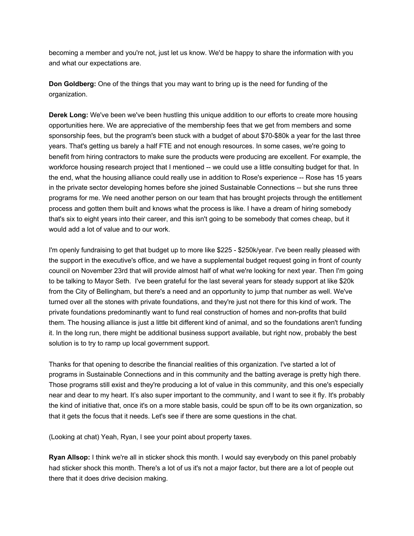becoming a member and you're not, just let us know. We'd be happy to share the information with you and what our expectations are.

**Don Goldberg:** One of the things that you may want to bring up is the need for funding of the organization.

**Derek Long:** We've been we've been hustling this unique addition to our efforts to create more housing opportunities here. We are appreciative of the membership fees that we get from members and some sponsorship fees, but the program's been stuck with a budget of about \$70-\$80k a year for the last three years. That's getting us barely a half FTE and not enough resources. In some cases, we're going to benefit from hiring contractors to make sure the products were producing are excellent. For example, the workforce housing research project that I mentioned -- we could use a little consulting budget for that. In the end, what the housing alliance could really use in addition to Rose's experience -- Rose has 15 years in the private sector developing homes before she joined Sustainable Connections -- but she runs three programs for me. We need another person on our team that has brought projects through the entitlement process and gotten them built and knows what the process is like. I have a dream of hiring somebody that's six to eight years into their career, and this isn't going to be somebody that comes cheap, but it would add a lot of value and to our work.

I'm openly fundraising to get that budget up to more like \$225 - \$250k/year. I've been really pleased with the support in the executive's office, and we have a supplemental budget request going in front of county council on November 23rd that will provide almost half of what we're looking for next year. Then I'm going to be talking to Mayor Seth. I've been grateful for the last several years for steady support at like \$20k from the City of Bellingham, but there's a need and an opportunity to jump that number as well. We've turned over all the stones with private foundations, and they're just not there for this kind of work. The private foundations predominantly want to fund real construction of homes and non-profits that build them. The housing alliance is just a little bit different kind of animal, and so the foundations aren't funding it. In the long run, there might be additional business support available, but right now, probably the best solution is to try to ramp up local government support.

Thanks for that opening to describe the financial realities of this organization. I've started a lot of programs in Sustainable Connections and in this community and the batting average is pretty high there. Those programs still exist and they're producing a lot of value in this community, and this one's especially near and dear to my heart. It's also super important to the community, and I want to see it fly. It's probably the kind of initiative that, once it's on a more stable basis, could be spun off to be its own organization, so that it gets the focus that it needs. Let's see if there are some questions in the chat.

(Looking at chat) Yeah, Ryan, I see your point about property taxes.

**Ryan Allsop:** I think we're all in sticker shock this month. I would say everybody on this panel probably had sticker shock this month. There's a lot of us it's not a major factor, but there are a lot of people out there that it does drive decision making.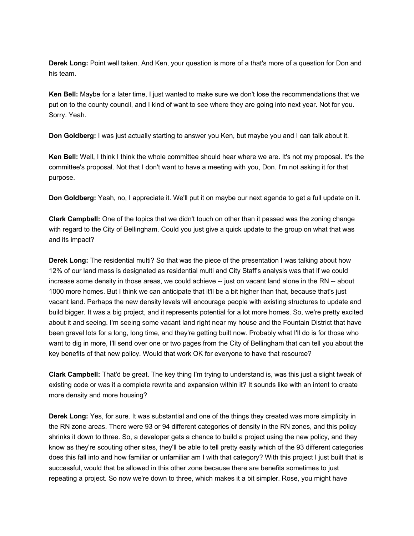**Derek Long:** Point well taken. And Ken, your question is more of a that's more of a question for Don and his team.

**Ken Bell:** Maybe for a later time, I just wanted to make sure we don't lose the recommendations that we put on to the county council, and I kind of want to see where they are going into next year. Not for you. Sorry. Yeah.

**Don Goldberg:** I was just actually starting to answer you Ken, but maybe you and I can talk about it.

**Ken Bell:** Well, I think I think the whole committee should hear where we are. It's not my proposal. It's the committee's proposal. Not that I don't want to have a meeting with you, Don. I'm not asking it for that purpose.

**Don Goldberg:** Yeah, no, I appreciate it. We'll put it on maybe our next agenda to get a full update on it.

**Clark Campbell:** One of the topics that we didn't touch on other than it passed was the zoning change with regard to the City of Bellingham. Could you just give a quick update to the group on what that was and its impact?

**Derek Long:** The residential multi? So that was the piece of the presentation I was talking about how 12% of our land mass is designated as residential multi and City Staff's analysis was that if we could increase some density in those areas, we could achieve -- just on vacant land alone in the RN -- about 1000 more homes. But I think we can anticipate that it'll be a bit higher than that, because that's just vacant land. Perhaps the new density levels will encourage people with existing structures to update and build bigger. It was a big project, and it represents potential for a lot more homes. So, we're pretty excited about it and seeing. I'm seeing some vacant land right near my house and the Fountain District that have been gravel lots for a long, long time, and they're getting built now. Probably what I'll do is for those who want to dig in more, I'll send over one or two pages from the City of Bellingham that can tell you about the key benefits of that new policy. Would that work OK for everyone to have that resource?

**Clark Campbell:** That'd be great. The key thing I'm trying to understand is, was this just a slight tweak of existing code or was it a complete rewrite and expansion within it? It sounds like with an intent to create more density and more housing?

**Derek Long:** Yes, for sure. It was substantial and one of the things they created was more simplicity in the RN zone areas. There were 93 or 94 different categories of density in the RN zones, and this policy shrinks it down to three. So, a developer gets a chance to build a project using the new policy, and they know as they're scouting other sites, they'll be able to tell pretty easily which of the 93 different categories does this fall into and how familiar or unfamiliar am I with that category? With this project I just built that is successful, would that be allowed in this other zone because there are benefits sometimes to just repeating a project. So now we're down to three, which makes it a bit simpler. Rose, you might have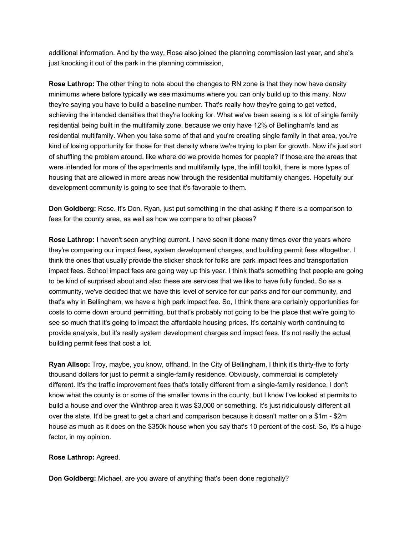additional information. And by the way, Rose also joined the planning commission last year, and she's just knocking it out of the park in the planning commission,

**Rose Lathrop:** The other thing to note about the changes to RN zone is that they now have density minimums where before typically we see maximums where you can only build up to this many. Now they're saying you have to build a baseline number. That's really how they're going to get vetted, achieving the intended densities that they're looking for. What we've been seeing is a lot of single family residential being built in the multifamily zone, because we only have 12% of Bellingham's land as residential multifamily. When you take some of that and you're creating single family in that area, you're kind of losing opportunity for those for that density where we're trying to plan for growth. Now it's just sort of shuffling the problem around, like where do we provide homes for people? If those are the areas that were intended for more of the apartments and multifamily type, the infill toolkit, there is more types of housing that are allowed in more areas now through the residential multifamily changes. Hopefully our development community is going to see that it's favorable to them.

**Don Goldberg:** Rose. It's Don. Ryan, just put something in the chat asking if there is a comparison to fees for the county area, as well as how we compare to other places?

**Rose Lathrop:** I haven't seen anything current. I have seen it done many times over the years where they're comparing our impact fees, system development charges, and building permit fees altogether. I think the ones that usually provide the sticker shock for folks are park impact fees and transportation impact fees. School impact fees are going way up this year. I think that's something that people are going to be kind of surprised about and also these are services that we like to have fully funded. So as a community, we've decided that we have this level of service for our parks and for our community, and that's why in Bellingham, we have a high park impact fee. So, I think there are certainly opportunities for costs to come down around permitting, but that's probably not going to be the place that we're going to see so much that it's going to impact the affordable housing prices. It's certainly worth continuing to provide analysis, but it's really system development charges and impact fees. It's not really the actual building permit fees that cost a lot.

**Ryan Allsop:** Troy, maybe, you know, offhand. In the City of Bellingham, I think it's thirty-five to forty thousand dollars for just to permit a single-family residence. Obviously, commercial is completely different. It's the traffic improvement fees that's totally different from a single-family residence. I don't know what the county is or some of the smaller towns in the county, but I know I've looked at permits to build a house and over the Winthrop area it was \$3,000 or something. It's just ridiculously different all over the state. It'd be great to get a chart and comparison because it doesn't matter on a \$1m - \$2m house as much as it does on the \$350k house when you say that's 10 percent of the cost. So, it's a huge factor, in my opinion.

#### **Rose Lathrop:** Agreed.

**Don Goldberg:** Michael, are you aware of anything that's been done regionally?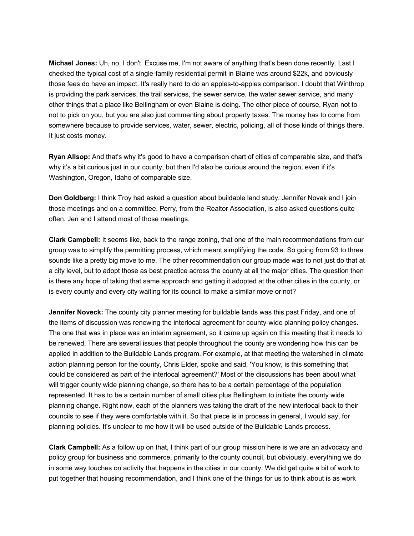**Michael Jones:** Uh, no, I don't. Excuse me, I'm not aware of anything that's been done recently. Last I checked the typical cost of a single-family residential permit in Blaine was around \$22k, and obviously those fees do have an impact. It's really hard to do an apples-to-apples comparison. I doubt that Winthrop is providing the park services, the trail services, the sewer service, the water sewer service, and many other things that a place like Bellingham or even Blaine is doing. The other piece of course, Ryan not to not to pick on you, but you are also just commenting about property taxes. The money has to come from somewhere because to provide services, water, sewer, electric, policing, all of those kinds of things there. It just costs money.

**Ryan Allsop:** And that's why it's good to have a comparison chart of cities of comparable size, and that's why it's a bit curious just in our county, but then I'd also be curious around the region, even if it's Washington, Oregon, Idaho of comparable size.

**Don Goldberg:** I think Troy had asked a question about buildable land study. Jennifer Novak and I join those meetings and on a committee. Perry, from the Realtor Association, is also asked questions quite often. Jen and I attend most of those meetings.

**Clark Campbell:** It seems like, back to the range zoning, that one of the main recommendations from our group was to simplify the permitting process, which meant simplifying the code. So going from 93 to three sounds like a pretty big move to me. The other recommendation our group made was to not just do that at a city level, but to adopt those as best practice across the county at all the major cities. The question then is there any hope of taking that same approach and getting it adopted at the other cities in the county, or is every county and every city waiting for its council to make a similar move or not?

**Jennifer Noveck:** The county city planner meeting for buildable lands was this past Friday, and one of the items of discussion was renewing the interlocal agreement for county-wide planning policy changes. The one that was in place was an interim agreement, so it came up again on this meeting that it needs to be renewed. There are several issues that people throughout the county are wondering how this can be applied in addition to the Buildable Lands program. For example, at that meeting the watershed in climate action planning person for the county, Chris Elder, spoke and said, 'You know, is this something that could be considered as part of the interlocal agreement?' Most of the discussions has been about what will trigger county wide planning change, so there has to be a certain percentage of the population represented. It has to be a certain number of small cities plus Bellingham to initiate the county wide planning change. Right now, each of the planners was taking the draft of the new interlocal back to their councils to see if they were comfortable with it. So that piece is in process in general, I would say, for planning policies. It's unclear to me how it will be used outside of the Buildable Lands process.

**Clark Campbell:** As a follow up on that, I think part of our group mission here is we are an advocacy and policy group for business and commerce, primarily to the county council, but obviously, everything we do in some way touches on activity that happens in the cities in our county. We did get quite a bit of work to put together that housing recommendation, and I think one of the things for us to think about is as work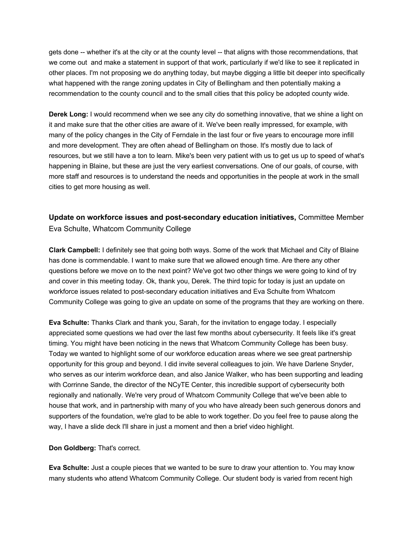gets done -- whether it's at the city or at the county level -- that aligns with those recommendations, that we come out and make a statement in support of that work, particularly if we'd like to see it replicated in other places. I'm not proposing we do anything today, but maybe digging a little bit deeper into specifically what happened with the range zoning updates in City of Bellingham and then potentially making a recommendation to the county council and to the small cities that this policy be adopted county wide.

**Derek Long:** I would recommend when we see any city do something innovative, that we shine a light on it and make sure that the other cities are aware of it. We've been really impressed, for example, with many of the policy changes in the City of Ferndale in the last four or five years to encourage more infill and more development. They are often ahead of Bellingham on those. It's mostly due to lack of resources, but we still have a ton to learn. Mike's been very patient with us to get us up to speed of what's happening in Blaine, but these are just the very earliest conversations. One of our goals, of course, with more staff and resources is to understand the needs and opportunities in the people at work in the small cities to get more housing as well.

## **Update on workforce issues and post-secondary education initiatives,** Committee Member Eva Schulte, Whatcom Community College

**Clark Campbell:** I definitely see that going both ways. Some of the work that Michael and City of Blaine has done is commendable. I want to make sure that we allowed enough time. Are there any other questions before we move on to the next point? We've got two other things we were going to kind of try and cover in this meeting today. Ok, thank you, Derek. The third topic for today is just an update on workforce issues related to post-secondary education initiatives and Eva Schulte from Whatcom Community College was going to give an update on some of the programs that they are working on there.

**Eva Schulte:** Thanks Clark and thank you, Sarah, for the invitation to engage today. I especially appreciated some questions we had over the last few months about cybersecurity. It feels like it's great timing. You might have been noticing in the news that Whatcom Community College has been busy. Today we wanted to highlight some of our workforce education areas where we see great partnership opportunity for this group and beyond. I did invite several colleagues to join. We have Darlene Snyder, who serves as our interim workforce dean, and also Janice Walker, who has been supporting and leading with Corrinne Sande, the director of the NCyTE Center, this incredible support of cybersecurity both regionally and nationally. We're very proud of Whatcom Community College that we've been able to house that work, and in partnership with many of you who have already been such generous donors and supporters of the foundation, we're glad to be able to work together. Do you feel free to pause along the way, I have a slide deck I'll share in just a moment and then a brief video highlight.

### **Don Goldberg:** That's correct.

**Eva Schulte:** Just a couple pieces that we wanted to be sure to draw your attention to. You may know many students who attend Whatcom Community College. Our student body is varied from recent high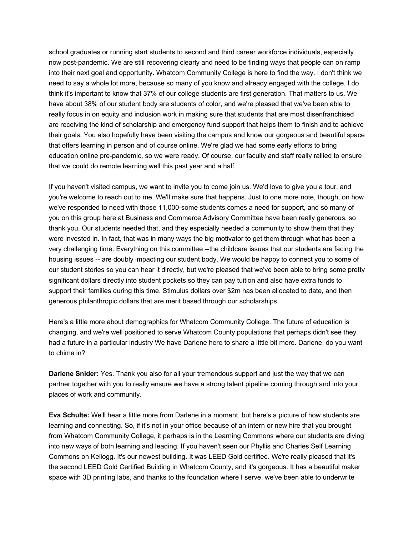school graduates or running start students to second and third career workforce individuals, especially now post-pandemic. We are still recovering clearly and need to be finding ways that people can on ramp into their next goal and opportunity. Whatcom Community College is here to find the way. I don't think we need to say a whole lot more, because so many of you know and already engaged with the college. I do think it's important to know that 37% of our college students are first generation. That matters to us. We have about 38% of our student body are students of color, and we're pleased that we've been able to really focus in on equity and inclusion work in making sure that students that are most disenfranchised are receiving the kind of scholarship and emergency fund support that helps them to finish and to achieve their goals. You also hopefully have been visiting the campus and know our gorgeous and beautiful space that offers learning in person and of course online. We're glad we had some early efforts to bring education online pre-pandemic, so we were ready. Of course, our faculty and staff really rallied to ensure that we could do remote learning well this past year and a half.

If you haven't visited campus, we want to invite you to come join us. We'd love to give you a tour, and you're welcome to reach out to me. We'll make sure that happens. Just to one more note, though, on how we've responded to need with those 11,000-some students comes a need for support, and so many of you on this group here at Business and Commerce Advisory Committee have been really generous, so thank you. Our students needed that, and they especially needed a community to show them that they were invested in. In fact, that was in many ways the big motivator to get them through what has been a very challenging time. Everything on this committee --the childcare issues that our students are facing the housing issues -- are doubly impacting our student body. We would be happy to connect you to some of our student stories so you can hear it directly, but we're pleased that we've been able to bring some pretty significant dollars directly into student pockets so they can pay tuition and also have extra funds to support their families during this time. Stimulus dollars over \$2m has been allocated to date, and then generous philanthropic dollars that are merit based through our scholarships.

Here's a little more about demographics for Whatcom Community College. The future of education is changing, and we're well positioned to serve Whatcom County populations that perhaps didn't see they had a future in a particular industry We have Darlene here to share a little bit more. Darlene, do you want to chime in?

**Darlene Snider:** Yes. Thank you also for all your tremendous support and just the way that we can partner together with you to really ensure we have a strong talent pipeline coming through and into your places of work and community.

**Eva Schulte:** We'll hear a little more from Darlene in a moment, but here's a picture of how students are learning and connecting. So, if it's not in your office because of an intern or new hire that you brought from Whatcom Community College, it perhaps is in the Learning Commons where our students are diving into new ways of both learning and leading. If you haven't seen our Phyllis and Charles Self Learning Commons on Kellogg. It's our newest building. It was LEED Gold certified. We're really pleased that it's the second LEED Gold Certified Building in Whatcom County, and it's gorgeous. It has a beautiful maker space with 3D printing labs, and thanks to the foundation where I serve, we've been able to underwrite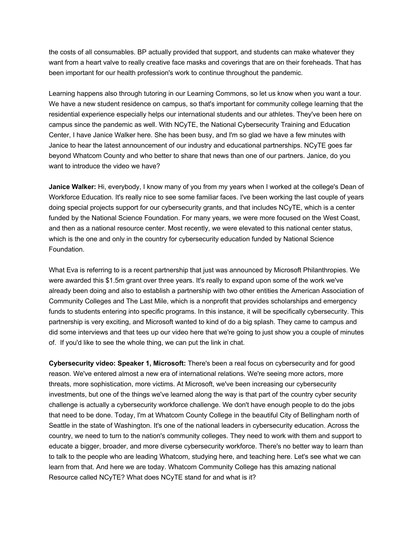the costs of all consumables. BP actually provided that support, and students can make whatever they want from a heart valve to really creative face masks and coverings that are on their foreheads. That has been important for our health profession's work to continue throughout the pandemic.

Learning happens also through tutoring in our Learning Commons, so let us know when you want a tour. We have a new student residence on campus, so that's important for community college learning that the residential experience especially helps our international students and our athletes. They've been here on campus since the pandemic as well. With NCyTE, the National Cybersecurity Training and Education Center, I have Janice Walker here. She has been busy, and I'm so glad we have a few minutes with Janice to hear the latest announcement of our industry and educational partnerships. NCyTE goes far beyond Whatcom County and who better to share that news than one of our partners. Janice, do you want to introduce the video we have?

**Janice Walker:** Hi, everybody, I know many of you from my years when I worked at the college's Dean of Workforce Education. It's really nice to see some familiar faces. I've been working the last couple of years doing special projects support for our cybersecurity grants, and that includes NCyTE, which is a center funded by the National Science Foundation. For many years, we were more focused on the West Coast, and then as a national resource center. Most recently, we were elevated to this national center status, which is the one and only in the country for cybersecurity education funded by National Science Foundation.

What Eva is referring to is a recent partnership that just was announced by Microsoft Philanthropies. We were awarded this \$1.5m grant over three years. It's really to expand upon some of the work we've already been doing and also to establish a partnership with two other entities the American Association of Community Colleges and The Last Mile, which is a nonprofit that provides scholarships and emergency funds to students entering into specific programs. In this instance, it will be specifically cybersecurity. This partnership is very exciting, and Microsoft wanted to kind of do a big splash. They came to campus and did some interviews and that tees up our video here that we're going to just show you a couple of minutes of. If you'd like to see the whole thing, we can put the link in chat.

**Cybersecurity video: Speaker 1, Microsoft:** There's been a real focus on cybersecurity and for good reason. We've entered almost a new era of international relations. We're seeing more actors, more threats, more sophistication, more victims. At Microsoft, we've been increasing our cybersecurity investments, but one of the things we've learned along the way is that part of the country cyber security challenge is actually a cybersecurity workforce challenge. We don't have enough people to do the jobs that need to be done. Today, I'm at Whatcom County College in the beautiful City of Bellingham north of Seattle in the state of Washington. It's one of the national leaders in cybersecurity education. Across the country, we need to turn to the nation's community colleges. They need to work with them and support to educate a bigger, broader, and more diverse cybersecurity workforce. There's no better way to learn than to talk to the people who are leading Whatcom, studying here, and teaching here. Let's see what we can learn from that. And here we are today. Whatcom Community College has this amazing national Resource called NCyTE? What does NCyTE stand for and what is it?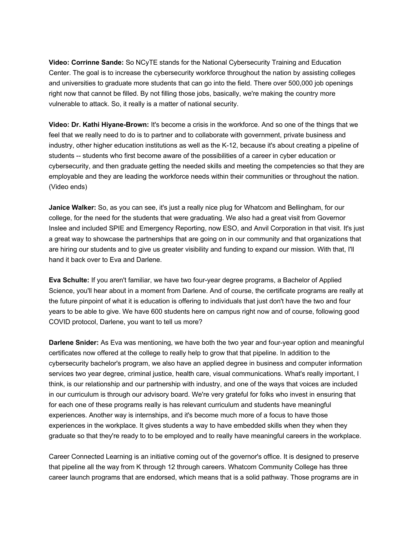**Video: Corrinne Sande:** So NCyTE stands for the National Cybersecurity Training and Education Center. The goal is to increase the cybersecurity workforce throughout the nation by assisting colleges and universities to graduate more students that can go into the field. There over 500,000 job openings right now that cannot be filled. By not filling those jobs, basically, we're making the country more vulnerable to attack. So, it really is a matter of national security.

**Video: Dr. Kathi Hiyane-Brown:** It's become a crisis in the workforce. And so one of the things that we feel that we really need to do is to partner and to collaborate with government, private business and industry, other higher education institutions as well as the K-12, because it's about creating a pipeline of students -- students who first become aware of the possibilities of a career in cyber education or cybersecurity, and then graduate getting the needed skills and meeting the competencies so that they are employable and they are leading the workforce needs within their communities or throughout the nation. (Video ends)

**Janice Walker:** So, as you can see, it's just a really nice plug for Whatcom and Bellingham, for our college, for the need for the students that were graduating. We also had a great visit from Governor Inslee and included SPIE and Emergency Reporting, now ESO, and Anvil Corporation in that visit. It's just a great way to showcase the partnerships that are going on in our community and that organizations that are hiring our students and to give us greater visibility and funding to expand our mission. With that, I'll hand it back over to Eva and Darlene.

**Eva Schulte:** If you aren't familiar, we have two four-year degree programs, a Bachelor of Applied Science, you'll hear about in a moment from Darlene. And of course, the certificate programs are really at the future pinpoint of what it is education is offering to individuals that just don't have the two and four years to be able to give. We have 600 students here on campus right now and of course, following good COVID protocol, Darlene, you want to tell us more?

**Darlene Snider:** As Eva was mentioning, we have both the two year and four-year option and meaningful certificates now offered at the college to really help to grow that that pipeline. In addition to the cybersecurity bachelor's program, we also have an applied degree in business and computer information services two year degree, criminal justice, health care, visual communications. What's really important, I think, is our relationship and our partnership with industry, and one of the ways that voices are included in our curriculum is through our advisory board. We're very grateful for folks who invest in ensuring that for each one of these programs really is has relevant curriculum and students have meaningful experiences. Another way is internships, and it's become much more of a focus to have those experiences in the workplace. It gives students a way to have embedded skills when they when they graduate so that they're ready to to be employed and to really have meaningful careers in the workplace.

Career Connected Learning is an initiative coming out of the governor's office. It is designed to preserve that pipeline all the way from K through 12 through careers. Whatcom Community College has three career launch programs that are endorsed, which means that is a solid pathway. Those programs are in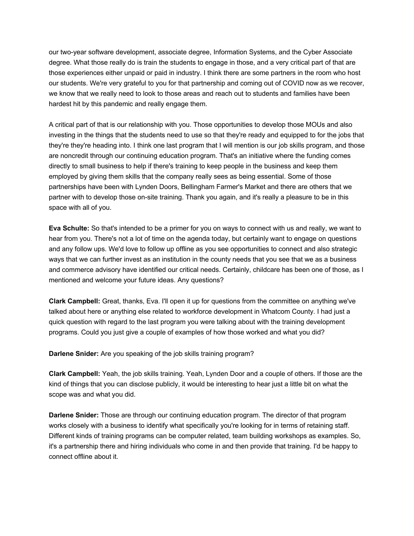our two-year software development, associate degree, Information Systems, and the Cyber Associate degree. What those really do is train the students to engage in those, and a very critical part of that are those experiences either unpaid or paid in industry. I think there are some partners in the room who host our students. We're very grateful to you for that partnership and coming out of COVID now as we recover, we know that we really need to look to those areas and reach out to students and families have been hardest hit by this pandemic and really engage them.

A critical part of that is our relationship with you. Those opportunities to develop those MOUs and also investing in the things that the students need to use so that they're ready and equipped to for the jobs that they're they're heading into. I think one last program that I will mention is our job skills program, and those are noncredit through our continuing education program. That's an initiative where the funding comes directly to small business to help if there's training to keep people in the business and keep them employed by giving them skills that the company really sees as being essential. Some of those partnerships have been with Lynden Doors, Bellingham Farmer's Market and there are others that we partner with to develop those on-site training. Thank you again, and it's really a pleasure to be in this space with all of you.

**Eva Schulte:** So that's intended to be a primer for you on ways to connect with us and really, we want to hear from you. There's not a lot of time on the agenda today, but certainly want to engage on questions and any follow ups. We'd love to follow up offline as you see opportunities to connect and also strategic ways that we can further invest as an institution in the county needs that you see that we as a business and commerce advisory have identified our critical needs. Certainly, childcare has been one of those, as I mentioned and welcome your future ideas. Any questions?

**Clark Campbell:** Great, thanks, Eva. I'll open it up for questions from the committee on anything we've talked about here or anything else related to workforce development in Whatcom County. I had just a quick question with regard to the last program you were talking about with the training development programs. Could you just give a couple of examples of how those worked and what you did?

**Darlene Snider:** Are you speaking of the job skills training program?

**Clark Campbell:** Yeah, the job skills training. Yeah, Lynden Door and a couple of others. If those are the kind of things that you can disclose publicly, it would be interesting to hear just a little bit on what the scope was and what you did.

**Darlene Snider:** Those are through our continuing education program. The director of that program works closely with a business to identify what specifically you're looking for in terms of retaining staff. Different kinds of training programs can be computer related, team building workshops as examples. So, it's a partnership there and hiring individuals who come in and then provide that training. I'd be happy to connect offline about it.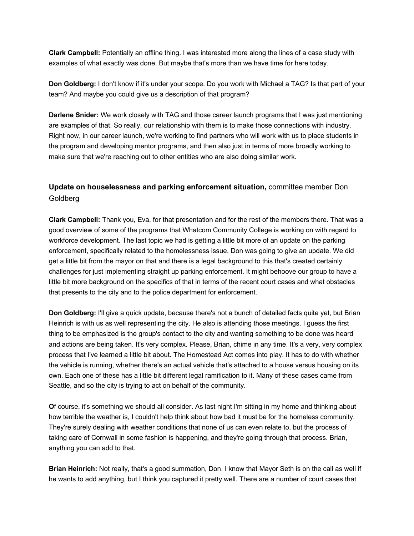**Clark Campbell:** Potentially an offline thing. I was interested more along the lines of a case study with examples of what exactly was done. But maybe that's more than we have time for here today.

**Don Goldberg:** I don't know if it's under your scope. Do you work with Michael a TAG? Is that part of your team? And maybe you could give us a description of that program?

**Darlene Snider:** We work closely with TAG and those career launch programs that I was just mentioning are examples of that. So really, our relationship with them is to make those connections with industry. Right now, in our career launch, we're working to find partners who will work with us to place students in the program and developing mentor programs, and then also just in terms of more broadly working to make sure that we're reaching out to other entities who are also doing similar work.

## **Update on houselessness and parking enforcement situation,** committee member Don Goldberg

**Clark Campbell:** Thank you, Eva, for that presentation and for the rest of the members there. That was a good overview of some of the programs that Whatcom Community College is working on with regard to workforce development. The last topic we had is getting a little bit more of an update on the parking enforcement, specifically related to the homelessness issue. Don was going to give an update. We did get a little bit from the mayor on that and there is a legal background to this that's created certainly challenges for just implementing straight up parking enforcement. It might behoove our group to have a little bit more background on the specifics of that in terms of the recent court cases and what obstacles that presents to the city and to the police department for enforcement.

**Don Goldberg:** I'll give a quick update, because there's not a bunch of detailed facts quite yet, but Brian Heinrich is with us as well representing the city. He also is attending those meetings. I guess the first thing to be emphasized is the group's contact to the city and wanting something to be done was heard and actions are being taken. It's very complex. Please, Brian, chime in any time. It's a very, very complex process that I've learned a little bit about. The Homestead Act comes into play. It has to do with whether the vehicle is running, whether there's an actual vehicle that's attached to a house versus housing on its own. Each one of these has a little bit different legal ramification to it. Many of these cases came from Seattle, and so the city is trying to act on behalf of the community.

**O**f course, it's something we should all consider. As last night I'm sitting in my home and thinking about how terrible the weather is, I couldn't help think about how bad it must be for the homeless community. They're surely dealing with weather conditions that none of us can even relate to, but the process of taking care of Cornwall in some fashion is happening, and they're going through that process. Brian, anything you can add to that.

**Brian Heinrich:** Not really, that's a good summation, Don. I know that Mayor Seth is on the call as well if he wants to add anything, but I think you captured it pretty well. There are a number of court cases that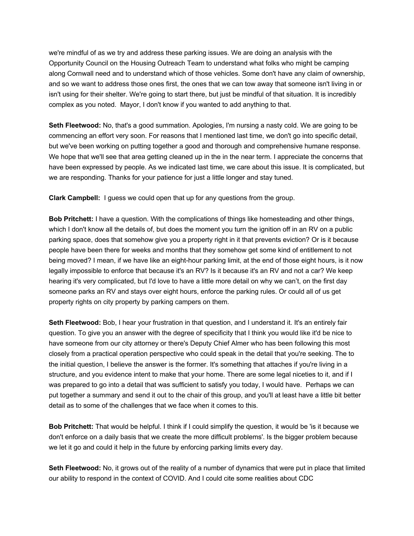we're mindful of as we try and address these parking issues. We are doing an analysis with the Opportunity Council on the Housing Outreach Team to understand what folks who might be camping along Cornwall need and to understand which of those vehicles. Some don't have any claim of ownership, and so we want to address those ones first, the ones that we can tow away that someone isn't living in or isn't using for their shelter. We're going to start there, but just be mindful of that situation. It is incredibly complex as you noted. Mayor, I don't know if you wanted to add anything to that.

**Seth Fleetwood:** No, that's a good summation. Apologies, I'm nursing a nasty cold. We are going to be commencing an effort very soon. For reasons that I mentioned last time, we don't go into specific detail, but we've been working on putting together a good and thorough and comprehensive humane response. We hope that we'll see that area getting cleaned up in the in the near term. I appreciate the concerns that have been expressed by people. As we indicated last time, we care about this issue. It is complicated, but we are responding. Thanks for your patience for just a little longer and stay tuned.

**Clark Campbell:** I guess we could open that up for any questions from the group.

**Bob Pritchett:** I have a question. With the complications of things like homesteading and other things, which I don't know all the details of, but does the moment you turn the ignition off in an RV on a public parking space, does that somehow give you a property right in it that prevents eviction? Or is it because people have been there for weeks and months that they somehow get some kind of entitlement to not being moved? I mean, if we have like an eight-hour parking limit, at the end of those eight hours, is it now legally impossible to enforce that because it's an RV? Is it because it's an RV and not a car? We keep hearing it's very complicated, but I'd love to have a little more detail on why we can't, on the first day someone parks an RV and stays over eight hours, enforce the parking rules. Or could all of us get property rights on city property by parking campers on them.

**Seth Fleetwood:** Bob, I hear your frustration in that question, and I understand it. It's an entirely fair question. To give you an answer with the degree of specificity that I think you would like it'd be nice to have someone from our city attorney or there's Deputy Chief Almer who has been following this most closely from a practical operation perspective who could speak in the detail that you're seeking. The to the initial question, I believe the answer is the former. It's something that attaches if you're living in a structure, and you evidence intent to make that your home. There are some legal niceties to it, and if I was prepared to go into a detail that was sufficient to satisfy you today, I would have. Perhaps we can put together a summary and send it out to the chair of this group, and you'll at least have a little bit better detail as to some of the challenges that we face when it comes to this.

**Bob Pritchett:** That would be helpful. I think if I could simplify the question, it would be 'is it because we don't enforce on a daily basis that we create the more difficult problems'. Is the bigger problem because we let it go and could it help in the future by enforcing parking limits every day.

**Seth Fleetwood:** No, it grows out of the reality of a number of dynamics that were put in place that limited our ability to respond in the context of COVID. And I could cite some realities about CDC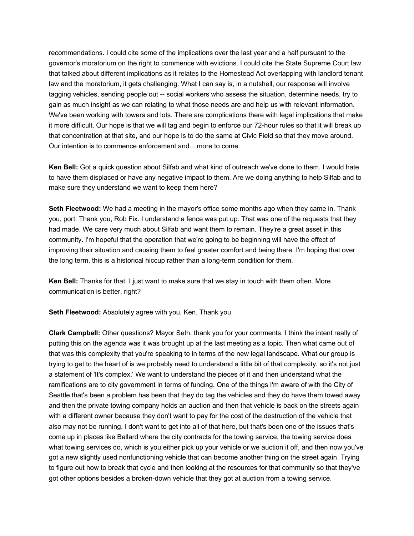recommendations. I could cite some of the implications over the last year and a half pursuant to the governor's moratorium on the right to commence with evictions. I could cite the State Supreme Court law that talked about different implications as it relates to the Homestead Act overlapping with landlord tenant law and the moratorium, it gets challenging. What I can say is, in a nutshell, our response will involve tagging vehicles, sending people out -- social workers who assess the situation, determine needs, try to gain as much insight as we can relating to what those needs are and help us with relevant information. We've been working with towers and lots. There are complications there with legal implications that make it more difficult. Our hope is that we will tag and begin to enforce our 72-hour rules so that it will break up that concentration at that site, and our hope is to do the same at Civic Field so that they move around. Our intention is to commence enforcement and... more to come.

**Ken Bell:** Got a quick question about Silfab and what kind of outreach we've done to them. I would hate to have them displaced or have any negative impact to them. Are we doing anything to help Silfab and to make sure they understand we want to keep them here?

**Seth Fleetwood:** We had a meeting in the mayor's office some months ago when they came in. Thank you, port. Thank you, Rob Fix. I understand a fence was put up. That was one of the requests that they had made. We care very much about Silfab and want them to remain. They're a great asset in this community. I'm hopeful that the operation that we're going to be beginning will have the effect of improving their situation and causing them to feel greater comfort and being there. I'm hoping that over the long term, this is a historical hiccup rather than a long-term condition for them.

**Ken Bell:** Thanks for that. I just want to make sure that we stay in touch with them often. More communication is better, right?

**Seth Fleetwood:** Absolutely agree with you, Ken. Thank you.

**Clark Campbell:** Other questions? Mayor Seth, thank you for your comments. I think the intent really of putting this on the agenda was it was brought up at the last meeting as a topic. Then what came out of that was this complexity that you're speaking to in terms of the new legal landscape. What our group is trying to get to the heart of is we probably need to understand a little bit of that complexity, so it's not just a statement of 'It's complex.' We want to understand the pieces of it and then understand what the ramifications are to city government in terms of funding. One of the things I'm aware of with the City of Seattle that's been a problem has been that they do tag the vehicles and they do have them towed away and then the private towing company holds an auction and then that vehicle is back on the streets again with a different owner because they don't want to pay for the cost of the destruction of the vehicle that also may not be running. I don't want to get into all of that here, but that's been one of the issues that's come up in places like Ballard where the city contracts for the towing service, the towing service does what towing services do, which is you either pick up your vehicle or we auction it off, and then now you've got a new slightly used nonfunctioning vehicle that can become another thing on the street again. Trying to figure out how to break that cycle and then looking at the resources for that community so that they've got other options besides a broken-down vehicle that they got at auction from a towing service.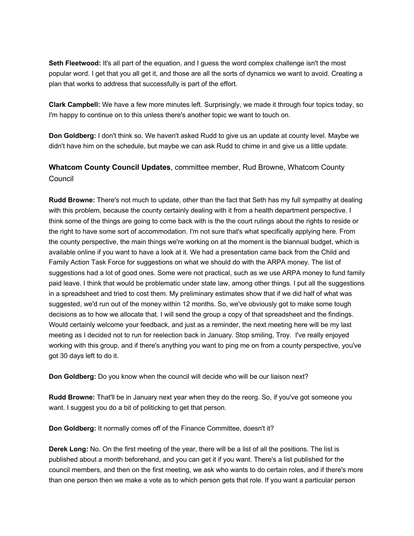**Seth Fleetwood:** It's all part of the equation, and I guess the word complex challenge isn't the most popular word. I get that you all get it, and those are all the sorts of dynamics we want to avoid. Creating a plan that works to address that successfully is part of the effort.

**Clark Campbell:** We have a few more minutes left. Surprisingly, we made it through four topics today, so I'm happy to continue on to this unless there's another topic we want to touch on.

**Don Goldberg:** I don't think so. We haven't asked Rudd to give us an update at county level. Maybe we didn't have him on the schedule, but maybe we can ask Rudd to chime in and give us a little update.

## **Whatcom County Council Updates**, committee member, Rud Browne, Whatcom County Council

**Rudd Browne:** There's not much to update, other than the fact that Seth has my full sympathy at dealing with this problem, because the county certainly dealing with it from a health department perspective. I think some of the things are going to come back with is the the court rulings about the rights to reside or the right to have some sort of accommodation. I'm not sure that's what specifically applying here. From the county perspective, the main things we're working on at the moment is the biannual budget, which is available online if you want to have a look at it. We had a presentation came back from the Child and Family Action Task Force for suggestions on what we should do with the ARPA money. The list of suggestions had a lot of good ones. Some were not practical, such as we use ARPA money to fund family paid leave. I think that would be problematic under state law, among other things. I put all the suggestions in a spreadsheet and tried to cost them. My preliminary estimates show that if we did half of what was suggested, we'd run out of the money within 12 months. So, we've obviously got to make some tough decisions as to how we allocate that. I will send the group a copy of that spreadsheet and the findings. Would certainly welcome your feedback, and just as a reminder, the next meeting here will be my last meeting as I decided not to run for reelection back in January. Stop smiling, Troy. I've really enjoyed working with this group, and if there's anything you want to ping me on from a county perspective, you've got 30 days left to do it.

**Don Goldberg:** Do you know when the council will decide who will be our liaison next?

**Rudd Browne:** That'll be in January next year when they do the reorg. So, if you've got someone you want. I suggest you do a bit of politicking to get that person.

**Don Goldberg:** It normally comes off of the Finance Committee, doesn't it?

**Derek Long:** No. On the first meeting of the year, there will be a list of all the positions. The list is published about a month beforehand, and you can get it if you want. There's a list published for the council members, and then on the first meeting, we ask who wants to do certain roles, and if there's more than one person then we make a vote as to which person gets that role. If you want a particular person